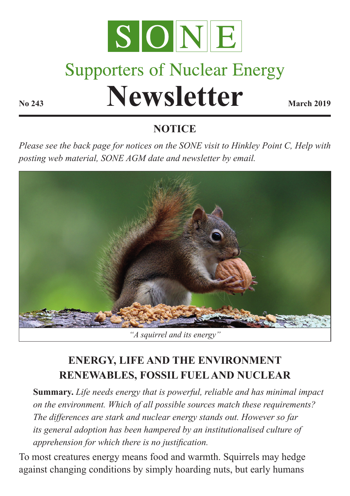

# **Supporters of Nuclear Energy**

**Newsletter March 2019** 

# **NOTICE**

*Please see the back page for notices on the SONE visit to Hinkley Point C, Help with posting web material, SONE AGM date and newsletter by email.*



# **ENERGY, LIFE AND THE ENVIRONMENT RENEWABLES, FOSSIL FUEL AND NUCLEAR**

**Summary.** *Life needs energy that is powerful, reliable and has minimal impact on the environment. Which of all possible sources match these requirements? The differences are stark and nuclear energy stands out. However so far its general adoption has been hampered by an institutionalised culture of apprehension for which there is no justification.*

To most creatures energy means food and warmth. Squirrels may hedge against changing conditions by simply hoarding nuts, but early humans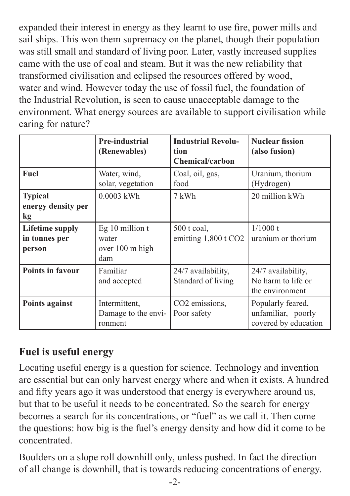expanded their interest in energy as they learnt to use fire, power mills and sail ships. This won them supremacy on the planet, though their population was still small and standard of living poor. Later, vastly increased supplies came with the use of coal and steam. But it was the new reliability that transformed civilisation and eclipsed the resources offered by wood, water and wind. However today the use of fossil fuel, the foundation of the Industrial Revolution, is seen to cause unacceptable damage to the environment. What energy sources are available to support civilisation while caring for nature?

|                                                   | Pre-industrial<br>(Renewables)                     | <b>Industrial Revolu-</b><br>tion<br><b>Chemical/carbon</b> | <b>Nuclear fission</b><br>(also fusion)                         |
|---------------------------------------------------|----------------------------------------------------|-------------------------------------------------------------|-----------------------------------------------------------------|
| Fuel                                              | Water, wind,<br>solar, vegetation                  | Coal, oil, gas,<br>food                                     | Uranium, thorium<br>(Hydrogen)                                  |
| <b>Typical</b><br>energy density per<br>kg        | 0.0003 kWh                                         | 7 kWh                                                       | 20 million kWh                                                  |
| <b>Lifetime supply</b><br>in tonnes per<br>person | Eg 10 million t<br>water<br>over 100 m high<br>dam | $500$ t coal,<br>emitting $1,800$ t CO <sub>2</sub>         | $1/1000$ t<br>uranium or thorium                                |
| <b>Points in favour</b>                           | Familiar<br>and accepted                           | 24/7 availability,<br>Standard of living                    | 24/7 availability,<br>No harm to life or<br>the environment     |
| Points against                                    | Intermittent.<br>Damage to the envi-<br>ronment    | CO <sub>2</sub> emissions,<br>Poor safety                   | Popularly feared,<br>unfamiliar, poorly<br>covered by education |

# **Fuel is useful energy**

Locating useful energy is a question for science. Technology and invention are essential but can only harvest energy where and when it exists. A hundred and fifty years ago it was understood that energy is everywhere around us, but that to be useful it needs to be concentrated. So the search for energy becomes a search for its concentrations, or "fuel" as we call it. Then come the questions: how big is the fuel's energy density and how did it come to be concentrated.

Boulders on a slope roll downhill only, unless pushed. In fact the direction of all change is downhill, that is towards reducing concentrations of energy.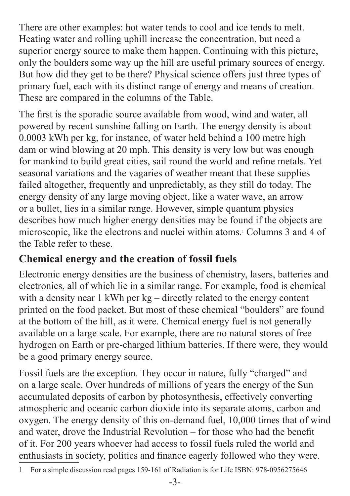There are other examples: hot water tends to cool and ice tends to melt. Heating water and rolling uphill increase the concentration, but need a superior energy source to make them happen. Continuing with this picture, only the boulders some way up the hill are useful primary sources of energy. But how did they get to be there? Physical science offers just three types of primary fuel, each with its distinct range of energy and means of creation. These are compared in the columns of the Table.

The first is the sporadic source available from wood, wind and water, all powered by recent sunshine falling on Earth. The energy density is about 0.0003 kWh per kg, for instance, of water held behind a 100 metre high dam or wind blowing at 20 mph. This density is very low but was enough for mankind to build great cities, sail round the world and refine metals. Yet seasonal variations and the vagaries of weather meant that these supplies failed altogether, frequently and unpredictably, as they still do today. The energy density of any large moving object, like a water wave, an arrow or a bullet, lies in a similar range. However, simple quantum physics describes how much higher energy densities may be found if the objects are microscopic, like the electrons and nuclei within atoms.1 Columns 3 and 4 of the Table refer to these.

# **Chemical energy and the creation of fossil fuels**

Electronic energy densities are the business of chemistry, lasers, batteries and electronics, all of which lie in a similar range. For example, food is chemical with a density near 1 kWh per kg – directly related to the energy content printed on the food packet. But most of these chemical "boulders" are found at the bottom of the hill, as it were. Chemical energy fuel is not generally available on a large scale. For example, there are no natural stores of free hydrogen on Earth or pre-charged lithium batteries. If there were, they would be a good primary energy source.

Fossil fuels are the exception. They occur in nature, fully "charged" and on a large scale. Over hundreds of millions of years the energy of the Sun accumulated deposits of carbon by photosynthesis, effectively converting atmospheric and oceanic carbon dioxide into its separate atoms, carbon and oxygen. The energy density of this on-demand fuel, 10,000 times that of wind and water, drove the Industrial Revolution – for those who had the benefit of it. For 200 years whoever had access to fossil fuels ruled the world and enthusiasts in society, politics and finance eagerly followed who they were.

<sup>1</sup> For a simple discussion read pages 159-161 of Radiation is for Life ISBN: 978-0956275646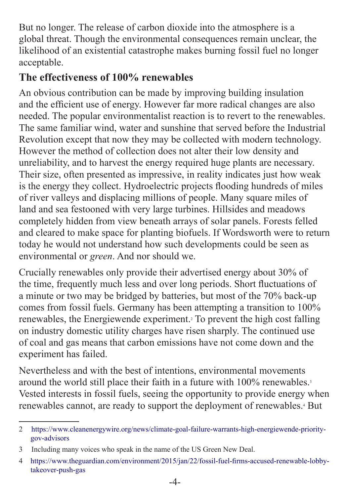But no longer. The release of carbon dioxide into the atmosphere is a global threat. Though the environmental consequences remain unclear, the likelihood of an existential catastrophe makes burning fossil fuel no longer acceptable.

#### **The effectiveness of 100% renewables**

An obvious contribution can be made by improving building insulation and the efficient use of energy. However far more radical changes are also needed. The popular environmentalist reaction is to revert to the renewables. The same familiar wind, water and sunshine that served before the Industrial Revolution except that now they may be collected with modern technology. However the method of collection does not alter their low density and unreliability, and to harvest the energy required huge plants are necessary. Their size, often presented as impressive, in reality indicates just how weak is the energy they collect. Hydroelectric projects flooding hundreds of miles of river valleys and displacing millions of people. Many square miles of land and sea festooned with very large turbines. Hillsides and meadows completely hidden from view beneath arrays of solar panels. Forests felled and cleared to make space for planting biofuels. If Wordsworth were to return today he would not understand how such developments could be seen as environmental or *green*. And nor should we.

Crucially renewables only provide their advertised energy about 30% of the time, frequently much less and over long periods. Short fluctuations of a minute or two may be bridged by batteries, but most of the 70% back-up comes from fossil fuels. Germany has been attempting a transition to 100% renewables, the Energiewende experiment.2 To prevent the high cost falling on industry domestic utility charges have risen sharply. The continued use of coal and gas means that carbon emissions have not come down and the experiment has failed.

Nevertheless and with the best of intentions, environmental movements around the world still place their faith in a future with 100% renewables.<sup>3</sup> Vested interests in fossil fuels, seeing the opportunity to provide energy when renewables cannot, are ready to support the deployment of renewables.<sup>4</sup> But

<sup>2</sup> [https://www.cleanenergywire.org/news/climate-goal-failure-warrants-high-energiewende-priority](https://www.cleanenergywire.org/news/climate-goal-failure-warrants-high-energiewende-priority-gov-advisors)[gov-advisors](https://www.cleanenergywire.org/news/climate-goal-failure-warrants-high-energiewende-priority-gov-advisors)

<sup>3</sup> Including many voices who speak in the name of the US Green New Deal.

<sup>4</sup> [https://www.theguardian.com/environment/2015/jan/22/fossil-fuel-firms-accused-renewable-lobby](https://www.theguardian.com/environment/2015/jan/22/fossil-fuel-firms-accused-renewable-lobby-takeover-push-gas)[takeover-push-gas](https://www.theguardian.com/environment/2015/jan/22/fossil-fuel-firms-accused-renewable-lobby-takeover-push-gas)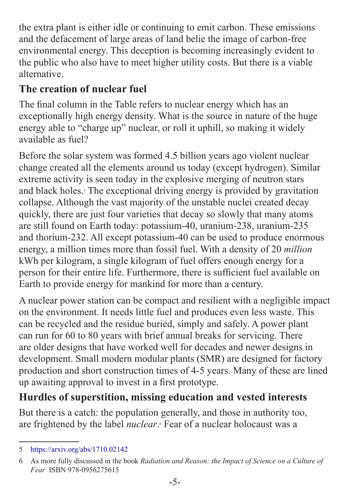the extra plant is either idle or continuing to emit carbon. These emissions and the defacement of large areas of land belie the image of carbon-free environmental energy. This deception is becoming increasingly evident to the public who also have to meet higher utility costs. But there is a viable alternative.

# **The creation of nuclear fuel**

The final column in the Table refers to nuclear energy which has an exceptionally high energy density. What is the source in nature of the huge energy able to "charge up" nuclear, or roll it uphill, so making it widely available as fuel?

Before the solar system was formed 4.5 billion years ago violent nuclear change created all the elements around us today (except hydrogen). Similar extreme activity is seen today in the explosive merging of neutron stars and black holes.<sup>5</sup> The exceptional driving energy is provided by gravitation collapse. Although the vast majority of the unstable nuclei created decay quickly, there are just four varieties that decay so slowly that many atoms are still found on Earth today: potassium-40, uranium-238, uranium-235 and thorium-232. All except potassium-40 can be used to produce enormous energy, a million times more than fossil fuel. With a density of 20 *million* kWh per kilogram, a single kilogram of fuel offers enough energy for a person for their entire life. Furthermore, there is sufficient fuel available on Earth to provide energy for mankind for more than a century.

A nuclear power station can be compact and resilient with a negligible impact on the environment. It needs little fuel and produces even less waste. This can be recycled and the residue buried, simply and safely. A power plant can run for 60 to 80 years with brief annual breaks for servicing. There are older designs that have worked well for decades and newer designs in development. Small modern modular plants (SMR) are designed for factory production and short construction times of 4-5 years. Many of these are lined up awaiting approval to invest in a first prototype.

# **Hurdles of superstition, missing education and vested interests**

But there is a catch: the population generally, and those in authority too, are frightened by the label *nuclear*. Fear of a nuclear holocaust was a

<sup>5</sup> <https://arxiv.org/abs/1710.02142>

<sup>6</sup> As more fully discussed in the book *Radiation and Reason: the Impact of Science on a Culture of Fear* ISBN 978-0956275615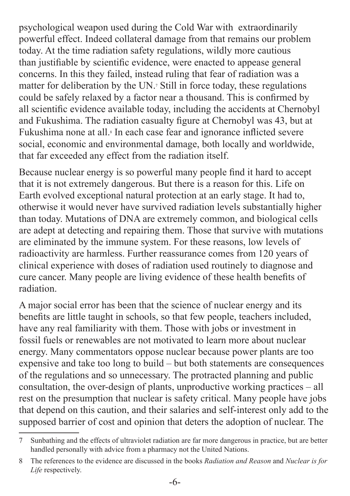psychological weapon used during the Cold War with extraordinarily powerful effect. Indeed collateral damage from that remains our problem today. At the time radiation safety regulations, wildly more cautious than justifiable by scientific evidence, were enacted to appease general concerns. In this they failed, instead ruling that fear of radiation was a matter for deliberation by the UN.7 Still in force today, these regulations could be safely relaxed by a factor near a thousand. This is confirmed by all scientific evidence available today, including the accidents at Chernobyl and Fukushima. The radiation casualty figure at Chernobyl was 43, but at Fukushima none at all.<sup>8</sup> In each case fear and ignorance inflicted severe social, economic and environmental damage, both locally and worldwide, that far exceeded any effect from the radiation itself.

Because nuclear energy is so powerful many people find it hard to accept that it is not extremely dangerous. But there is a reason for this. Life on Earth evolved exceptional natural protection at an early stage. It had to, otherwise it would never have survived radiation levels substantially higher than today. Mutations of DNA are extremely common, and biological cells are adept at detecting and repairing them. Those that survive with mutations are eliminated by the immune system. For these reasons, low levels of radioactivity are harmless. Further reassurance comes from 120 years of clinical experience with doses of radiation used routinely to diagnose and cure cancer. Many people are living evidence of these health benefits of radiation.

A major social error has been that the science of nuclear energy and its benefits are little taught in schools, so that few people, teachers included, have any real familiarity with them. Those with jobs or investment in fossil fuels or renewables are not motivated to learn more about nuclear energy. Many commentators oppose nuclear because power plants are too expensive and take too long to build – but both statements are consequences of the regulations and so unnecessary. The protracted planning and public consultation, the over-design of plants, unproductive working practices – all rest on the presumption that nuclear is safety critical. Many people have jobs that depend on this caution, and their salaries and self-interest only add to the supposed barrier of cost and opinion that deters the adoption of nuclear. The

<sup>7</sup> Sunbathing and the effects of ultraviolet radiation are far more dangerous in practice, but are better handled personally with advice from a pharmacy not the United Nations.

<sup>8</sup> The references to the evidence are discussed in the books *Radiation and Reason* and *Nuclear is for Life* respectively.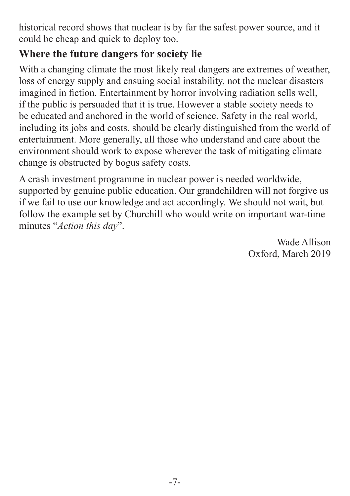historical record shows that nuclear is by far the safest power source, and it could be cheap and quick to deploy too.

#### **Where the future dangers for society lie**

With a changing climate the most likely real dangers are extremes of weather, loss of energy supply and ensuing social instability, not the nuclear disasters imagined in fiction. Entertainment by horror involving radiation sells well, if the public is persuaded that it is true. However a stable society needs to be educated and anchored in the world of science. Safety in the real world, including its jobs and costs, should be clearly distinguished from the world of entertainment. More generally, all those who understand and care about the environment should work to expose wherever the task of mitigating climate change is obstructed by bogus safety costs.

A crash investment programme in nuclear power is needed worldwide, supported by genuine public education. Our grandchildren will not forgive us if we fail to use our knowledge and act accordingly. We should not wait, but follow the example set by Churchill who would write on important war-time minutes "*Action this day*".

> Wade Allison Oxford, March 2019